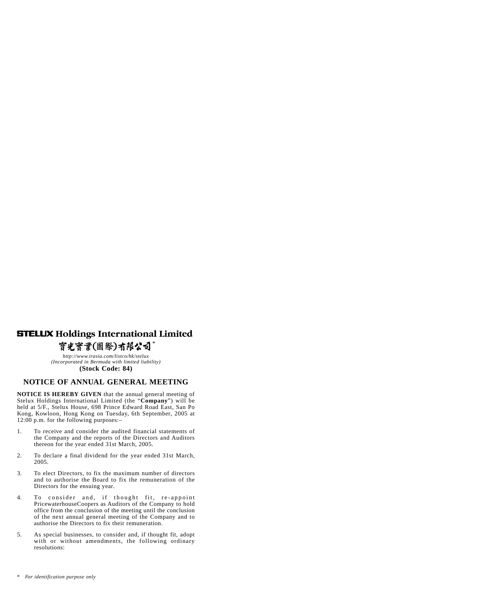# **STELUX Holdings International Limited**

#### 寳光寳業(國際)有限公司 *\**

*http://www.irasia.com/listco/hk/stelux (Incorporated in Bermuda with limited liability)*

## **(Stock Code: 84)**

## **NOTICE OF ANNUAL GENERAL MEETING**

**NOTICE IS HEREBY GIVEN** that the annual general meeting of Stelux Holdings International Limited (the "**Company**") will be held at 5/F., Stelux House, 698 Prince Edward Road East, San Po Kong, Kowloon, Hong Kong on Tuesday, 6th September, 2005 at 12:00 p.m. for the following purposes:–

- 1. To receive and consider the audited financial statements of the Company and the reports of the Directors and Auditors thereon for the year ended 31st March, 2005.
- 2. To declare a final dividend for the year ended 31st March, 2005.
- 3. To elect Directors, to fix the maximum number of directors and to authorise the Board to fix the remuneration of the Directors for the ensuing year.
- 4. To consider and, if thought fit, re-appoint PricewaterhouseCoopers as Auditors of the Company to hold office from the conclusion of the meeting until the conclusion of the next annual general meeting of the Company and to authorise the Directors to fix their remuneration.
- 5. As special businesses, to consider and, if thought fit, adopt with or without amendments, the following ordinary resolutions:

<sup>\*</sup> *For identification purpose only*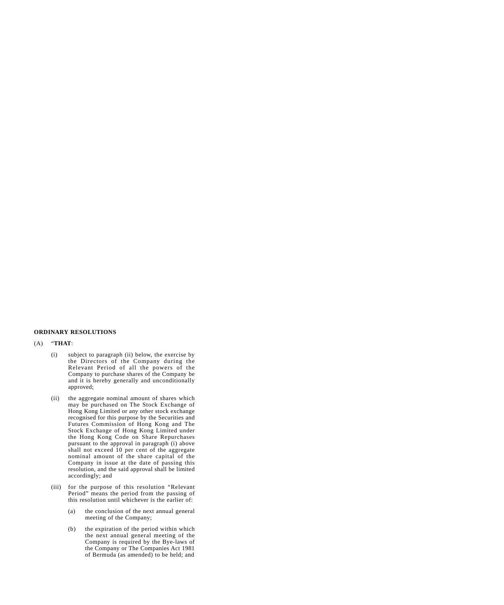### **ORDINARY RESOLUTIONS**

#### (A) "**THAT**:

- (i) subject to paragraph (ii) below, the exercise by the Directors of the Company during the Relevant Period of all the powers of the Company to purchase shares of the Company be and it is hereby generally and unconditionally approved;
- (ii) the aggregate nominal amount of shares which may be purchased on The Stock Exchange of Hong Kong Limited or any other stock exchange recognised for this purpose by the Securities and Futures Commission of Hong Kong and The Stock Exchange of Hong Kong Limited under the Hong Kong Code on Share Repurchases pursuant to the approval in paragraph (i) above shall not exceed 10 per cent of the aggregate nominal amount of the share capital of the Company in issue at the date of passing this resolution, and the said approval shall be limited accordingly; and
- (iii) for the purpose of this resolution "Relevant Period" means the period from the passing of this resolution until whichever is the earlier of:
	- (a) the conclusion of the next annual general meeting of the Company;
	- (b) the expiration of the period within which the next annual general meeting of the Company is required by the Bye-laws of the Company or The Companies Act 1981 of Bermuda (as amended) to be held; and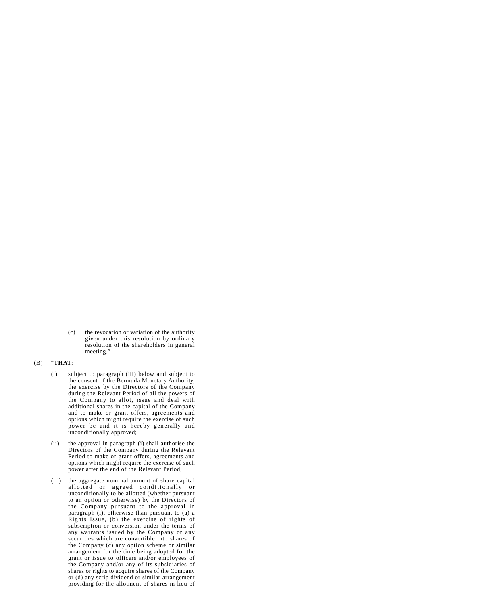(c) the revocation or variation of the authority given under this resolution by ordinary resolution of the shareholders in general meeting."

#### (B) "**THAT**:

- (i) subject to paragraph (iii) below and subject to the consent of the Bermuda Monetary Authority, the exercise by the Directors of the Company during the Relevant Period of all the powers of the Company to allot, issue and deal with additional shares in the capital of the Company and to make or grant offers, agreements and options which might require the exercise of such power be and it is hereby generally and unconditionally approved;
- (ii) the approval in paragraph (i) shall authorise the Directors of the Company during the Relevant Period to make or grant offers, agreements and options which might require the exercise of such power after the end of the Relevant Period;
- (iii) the aggregate nominal amount of share capital allotted or agreed conditionally or unconditionally to be allotted (whether pursuant to an option or otherwise) by the Directors of the Company pursuant to the approval in paragraph (i), otherwise than pursuant to (a) a Rights Issue, (b) the exercise of rights of subscription or conversion under the terms of any warrants issued by the Company or any securities which are convertible into shares of the Company (c) any option scheme or similar arrangement for the time being adopted for the grant or issue to officers and/or employees of the Company and/or any of its subsidiaries of shares or rights to acquire shares of the Company or (d) any scrip dividend or similar arrangement providing for the allotment of shares in lieu of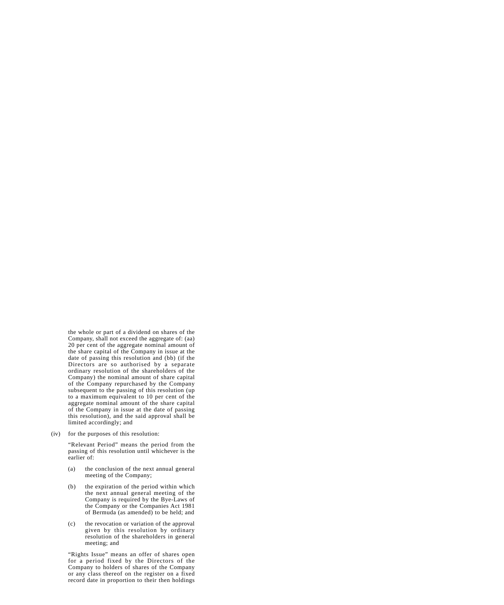the whole or part of a dividend on shares of the Company, shall not exceed the aggregate of: (aa) 20 per cent of the aggregate nominal amount of the share capital of the Company in issue at the date of passing this resolution and (bb) (if the Directors are so authorised by a separate ordinary resolution of the shareholders of the Company) the nominal amount of share capital of the Company repurchased by the Company subsequent to the passing of this resolution (up to a maximum equivalent to 10 per cent of the aggregate nominal amount of the share capital of the Company in issue at the date of passing this resolution), and the said approval shall be limited accordingly; and

(iv) for the purposes of this resolution:

"Relevant Period" means the period from the passing of this resolution until whichever is the earlier of:

- (a) the conclusion of the next annual general meeting of the Company;
- (b) the expiration of the period within which the next annual general meeting of the Company is required by the Bye-Laws of the Company or the Companies Act 1981 of Bermuda (as amended) to be held; and
- (c) the revocation or variation of the approval given by this resolution by ordinary resolution of the shareholders in general meeting; and

"Rights Issue" means an offer of shares open for a period fixed by the Directors of the Company to holders of shares of the Company or any class thereof on the register on a fixed record date in proportion to their then holdings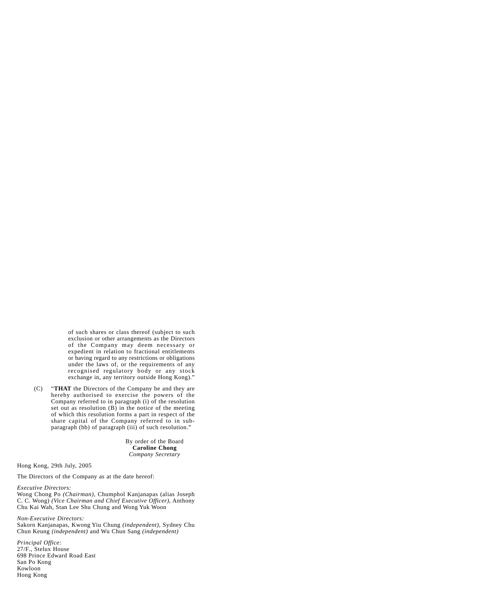of such shares or class thereof (subject to such exclusion or other arrangements as the Directors of the Company may deem necessary or expedient in relation to fractional entitlements or having regard to any restrictions or obligations under the laws of, or the requirements of any recognised regulatory body or any stock exchange in, any territory outside Hong Kong)."

(C) "**THAT** the Directors of the Company be and they are hereby authorised to exercise the powers of the Company referred to in paragraph (i) of the resolution set out as resolution  $(B)$  in the notice of the meeting of which this resolution forms a part in respect of the share capital of the Company referred to in subparagraph (bb) of paragraph (iii) of such resolution."

> By order of the Board **Caroline Chong** *Company Secretary*

Hong Kong, 29th July, 2005

The Directors of the Company as at the date hereof:

#### *Executive Directors:*

Wong Chong Po *(Chairman)*, Chumphol Kanjanapas (alias Joseph C. C. Wong) *(Vice Chairman and Chief Executive Officer)*, Anthony Chu Kai Wah, Stan Lee Shu Chung and Wong Yuk Woon

*Non-Executive Directors:*

Sakorn Kanjanapas, Kwong Yiu Chung *(independent)*, Sydney Chu Chun Keung *(independent)* and Wu Chun Sang *(independent)*

*Principal Office:* 27/F., Stelux House 698 Prince Edward Road East San Po Kong Kowloon Hong Kong